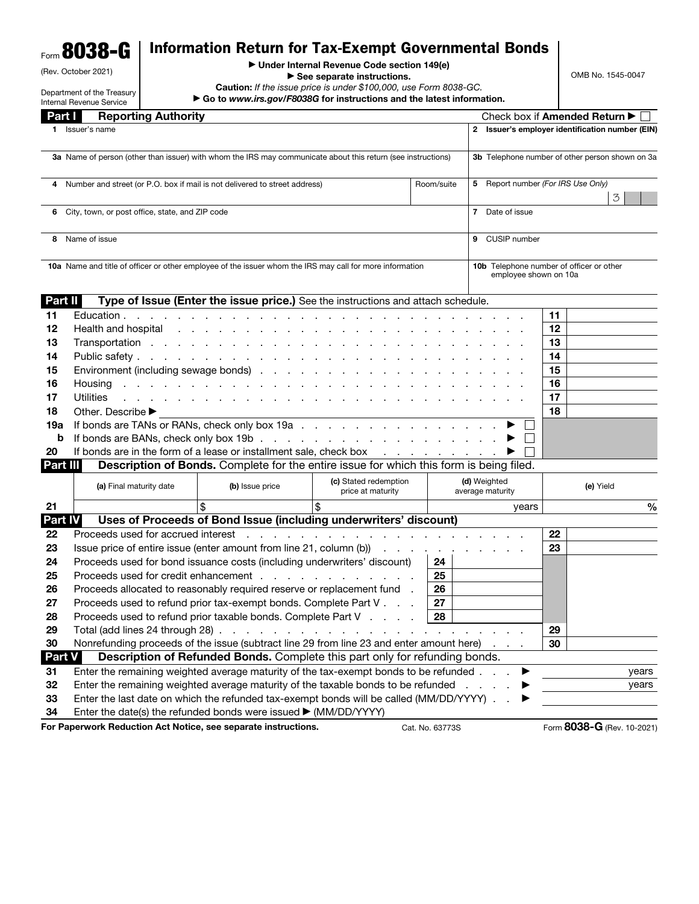## Form 8038-G Information Return for Tax-Exempt Governmental Bonds

| (Rev. October 2021) |  |
|---------------------|--|

Department of the Treasury

## ▶ Under Internal Revenue Code section 149(e)

▶ See separate instructions.

Caution: *If the issue price is under \$100,000, use Form 8038-GC.* ▶ Go to *www.irs.gov/F8038G* for instructions and the latest information. OMB No. 1545-0047

|                | Internal Revenue Service                                                                                                                                                                   |                                    | go to www.irs.gov/Focoog for instructions and the latest imormation.                                                                                                                                                          |                                            |            |                                                                   |           |                             |  |  |
|----------------|--------------------------------------------------------------------------------------------------------------------------------------------------------------------------------------------|------------------------------------|-------------------------------------------------------------------------------------------------------------------------------------------------------------------------------------------------------------------------------|--------------------------------------------|------------|-------------------------------------------------------------------|-----------|-----------------------------|--|--|
| Part I         |                                                                                                                                                                                            | <b>Reporting Authority</b>         |                                                                                                                                                                                                                               |                                            |            |                                                                   |           | Check box if Amended Return |  |  |
|                | 1 Issuer's name                                                                                                                                                                            |                                    |                                                                                                                                                                                                                               |                                            |            | 2 Issuer's employer identification number (EIN)                   |           |                             |  |  |
|                | 3a Name of person (other than issuer) with whom the IRS may communicate about this return (see instructions)                                                                               |                                    |                                                                                                                                                                                                                               |                                            |            | 3b Telephone number of other person shown on 3a                   |           |                             |  |  |
| 4              |                                                                                                                                                                                            |                                    | Number and street (or P.O. box if mail is not delivered to street address)                                                                                                                                                    |                                            | Room/suite | 5 Report number (For IRS Use Only)<br>3                           |           |                             |  |  |
| 6              | City, town, or post office, state, and ZIP code<br>7 Date of issue                                                                                                                         |                                    |                                                                                                                                                                                                                               |                                            |            |                                                                   |           |                             |  |  |
| 8              | Name of issue                                                                                                                                                                              |                                    |                                                                                                                                                                                                                               |                                            |            | 9 CUSIP number                                                    |           |                             |  |  |
|                |                                                                                                                                                                                            |                                    | 10a Name and title of officer or other employee of the issuer whom the IRS may call for more information                                                                                                                      |                                            |            | 10b Telephone number of officer or other<br>employee shown on 10a |           |                             |  |  |
| <b>Part II</b> |                                                                                                                                                                                            |                                    | Type of Issue (Enter the issue price.) See the instructions and attach schedule.                                                                                                                                              |                                            |            |                                                                   |           |                             |  |  |
| 11             |                                                                                                                                                                                            |                                    | Education $\cdots$ $\cdots$ $\cdots$ $\cdots$ $\cdots$ $\cdots$ $\cdots$                                                                                                                                                      |                                            |            |                                                                   | 11        |                             |  |  |
| 12             |                                                                                                                                                                                            |                                    | Health and hospital resources and resources are a set of the set of the set of the set of the set of the set of the set of the set of the set of the set of the set of the set of the set of the set of the set of the set of |                                            |            |                                                                   | 12        |                             |  |  |
| 13             |                                                                                                                                                                                            |                                    |                                                                                                                                                                                                                               |                                            |            |                                                                   | 13        |                             |  |  |
| 14             |                                                                                                                                                                                            |                                    |                                                                                                                                                                                                                               |                                            |            |                                                                   | 14        |                             |  |  |
| 15             |                                                                                                                                                                                            |                                    | Environment (including sewage bonds)                                                                                                                                                                                          |                                            |            |                                                                   | 15        |                             |  |  |
| 16             | Housing                                                                                                                                                                                    |                                    | de la caractería de la caractería de la caractería de                                                                                                                                                                         |                                            |            |                                                                   | 16        |                             |  |  |
| 17             | <b>Utilities</b>                                                                                                                                                                           |                                    | a construction of the construction of the construction of the construction of the construction of the construction of the construction of the construction of the construction of the construction of the construction of the |                                            |            |                                                                   | 17        |                             |  |  |
| 18             | Other. Describe ▶                                                                                                                                                                          |                                    |                                                                                                                                                                                                                               |                                            |            |                                                                   | 18        |                             |  |  |
| 19а            |                                                                                                                                                                                            |                                    | If bonds are TANs or RANs, check only box 19a                                                                                                                                                                                 |                                            |            |                                                                   |           |                             |  |  |
| b              |                                                                                                                                                                                            |                                    | If bonds are BANs, check only box 19b. $\ldots$ , $\ldots$ , $\ldots$ , $\ldots$ , $\ldots$ , $\ldots$                                                                                                                        |                                            |            |                                                                   |           |                             |  |  |
| 20             |                                                                                                                                                                                            |                                    | If bonds are in the form of a lease or installment sale, check box                                                                                                                                                            |                                            |            |                                                                   |           |                             |  |  |
| Part III       |                                                                                                                                                                                            |                                    | Description of Bonds. Complete for the entire issue for which this form is being filed.                                                                                                                                       |                                            |            |                                                                   |           |                             |  |  |
|                |                                                                                                                                                                                            | (a) Final maturity date            | (b) Issue price                                                                                                                                                                                                               | (c) Stated redemption<br>price at maturity |            | (d) Weighted<br>average maturity                                  | (e) Yield |                             |  |  |
| 21             |                                                                                                                                                                                            |                                    | \$                                                                                                                                                                                                                            | \$                                         |            | years                                                             |           | $\frac{0}{0}$               |  |  |
| Part IV        |                                                                                                                                                                                            |                                    | Uses of Proceeds of Bond Issue (including underwriters' discount)                                                                                                                                                             |                                            |            |                                                                   |           |                             |  |  |
| 22             |                                                                                                                                                                                            | Proceeds used for accrued interest |                                                                                                                                                                                                                               |                                            |            |                                                                   | 22        |                             |  |  |
| 23             |                                                                                                                                                                                            |                                    | Issue price of entire issue (enter amount from line 21, column (b))                                                                                                                                                           |                                            |            |                                                                   | 23        |                             |  |  |
| 24             |                                                                                                                                                                                            |                                    | Proceeds used for bond issuance costs (including underwriters' discount)                                                                                                                                                      |                                            | 24         |                                                                   |           |                             |  |  |
| 25             |                                                                                                                                                                                            |                                    | Proceeds used for credit enhancement response to the contract of the contract of the contract of the contract of the contract of the contract of the contract of the contract of the contract of the contract of the contract |                                            | 25         |                                                                   |           |                             |  |  |
| 26             |                                                                                                                                                                                            |                                    | Proceeds allocated to reasonably required reserve or replacement fund .                                                                                                                                                       |                                            | 26         |                                                                   |           |                             |  |  |
| 27             |                                                                                                                                                                                            |                                    | Proceeds used to refund prior tax-exempt bonds. Complete Part V                                                                                                                                                               |                                            | 27         |                                                                   |           |                             |  |  |
| 28             |                                                                                                                                                                                            |                                    | Proceeds used to refund prior taxable bonds. Complete Part V                                                                                                                                                                  |                                            | 28         |                                                                   |           |                             |  |  |
| 29<br>30       |                                                                                                                                                                                            |                                    | Total (add lines 24 through 28) $\ldots$ $\ldots$ $\ldots$ $\ldots$ $\ldots$ $\ldots$ $\ldots$ $\ldots$ $\ldots$<br>Nonrefunding proceeds of the issue (subtract line 29 from line 23 and enter amount here)                  |                                            |            |                                                                   | 29<br>30  |                             |  |  |
| <b>Part V</b>  |                                                                                                                                                                                            |                                    | Description of Refunded Bonds. Complete this part only for refunding bonds.                                                                                                                                                   |                                            |            |                                                                   |           |                             |  |  |
| 31             |                                                                                                                                                                                            |                                    |                                                                                                                                                                                                                               |                                            |            |                                                                   |           | years                       |  |  |
| 32             | Enter the remaining weighted average maturity of the tax-exempt bonds to be refunded<br>Enter the remaining weighted average maturity of the taxable bonds to be refunded<br>$\sim$ $\sim$ |                                    |                                                                                                                                                                                                                               |                                            |            | years                                                             |           |                             |  |  |
| 33             | Enter the last date on which the refunded tax-exempt bonds will be called (MM/DD/YYYY).                                                                                                    |                                    |                                                                                                                                                                                                                               |                                            |            |                                                                   |           |                             |  |  |
| 34             |                                                                                                                                                                                            |                                    | Enter the date(s) the refunded bonds were issued ▶ (MM/DD/YYYY)                                                                                                                                                               |                                            |            |                                                                   |           |                             |  |  |

For Paperwork Reduction Act Notice, see separate instructions. Cat. No. 63773S Form 8038-G (Rev. 10-2021)